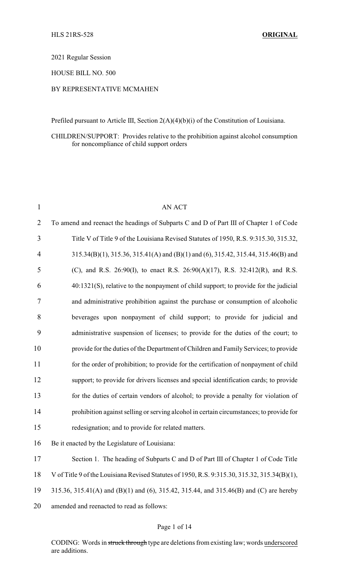2021 Regular Session

HOUSE BILL NO. 500

### BY REPRESENTATIVE MCMAHEN

Prefiled pursuant to Article III, Section 2(A)(4)(b)(i) of the Constitution of Louisiana.

### CHILDREN/SUPPORT: Provides relative to the prohibition against alcohol consumption for noncompliance of child support orders

| $\mathbf{1}$   | AN ACT                                                                                       |
|----------------|----------------------------------------------------------------------------------------------|
| $\overline{2}$ | To amend and reenact the headings of Subparts C and D of Part III of Chapter 1 of Code       |
| 3              | Title V of Title 9 of the Louisiana Revised Statutes of 1950, R.S. 9:315.30, 315.32,         |
| 4              | 315.34(B)(1), 315.36, 315.41(A) and (B)(1) and (6), 315.42, 315.44, 315.46(B) and            |
| 5              | (C), and R.S. 26:90(I), to enact R.S. 26:90(A)(17), R.S. 32:412(R), and R.S.                 |
| 6              | 40:1321(S), relative to the nonpayment of child support; to provide for the judicial         |
| 7              | and administrative prohibition against the purchase or consumption of alcoholic              |
| 8              | beverages upon nonpayment of child support; to provide for judicial and                      |
| 9              | administrative suspension of licenses; to provide for the duties of the court; to            |
| 10             | provide for the duties of the Department of Children and Family Services; to provide         |
| 11             | for the order of prohibition; to provide for the certification of nonpayment of child        |
| 12             | support; to provide for drivers licenses and special identification cards; to provide        |
| 13             | for the duties of certain vendors of alcohol; to provide a penalty for violation of          |
| 14             | prohibition against selling or serving alcohol in certain circumstances; to provide for      |
| 15             | redesignation; and to provide for related matters.                                           |
| 16             | Be it enacted by the Legislature of Louisiana:                                               |
| 17             | Section 1. The heading of Subparts C and D of Part III of Chapter 1 of Code Title            |
| 18             | V of Title 9 of the Louisiana Revised Statutes of 1950, R.S. 9:315.30, 315.32, 315.34(B)(1), |
| 19             | 315.36, 315.41(A) and (B)(1) and (6), 315.42, 315.44, and 315.46(B) and (C) are hereby       |
| 20             | amended and reenacted to read as follows:                                                    |
|                |                                                                                              |

#### Page 1 of 14

CODING: Words in struck through type are deletions from existing law; words underscored are additions.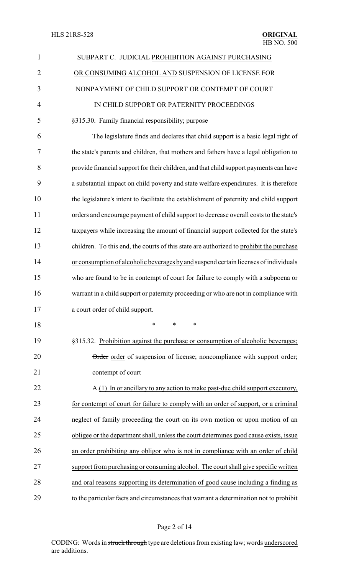| $\mathbf{1}$   | SUBPART C. JUDICIAL PROHIBITION AGAINST PURCHASING                                      |  |  |
|----------------|-----------------------------------------------------------------------------------------|--|--|
| $\overline{2}$ | OR CONSUMING ALCOHOL AND SUSPENSION OF LICENSE FOR                                      |  |  |
| 3              | NONPAYMENT OF CHILD SUPPORT OR CONTEMPT OF COURT                                        |  |  |
| $\overline{4}$ | IN CHILD SUPPORT OR PATERNITY PROCEEDINGS                                               |  |  |
| 5              | §315.30. Family financial responsibility; purpose                                       |  |  |
| 6              | The legislature finds and declares that child support is a basic legal right of         |  |  |
| 7              | the state's parents and children, that mothers and fathers have a legal obligation to   |  |  |
| 8              | provide financial support for their children, and that child support payments can have  |  |  |
| 9              | a substantial impact on child poverty and state welfare expenditures. It is therefore   |  |  |
| 10             | the legislature's intent to facilitate the establishment of paternity and child support |  |  |
| 11             | orders and encourage payment of child support to decrease overall costs to the state's  |  |  |
| 12             | taxpayers while increasing the amount of financial support collected for the state's    |  |  |
| 13             | children. To this end, the courts of this state are authorized to prohibit the purchase |  |  |
| 14             | or consumption of alcoholic beverages by and suspend certain licenses of individuals    |  |  |
| 15             | who are found to be in contempt of court for failure to comply with a subpoena or       |  |  |
| 16             | warrant in a child support or paternity proceeding or who are not in compliance with    |  |  |
| 17             | a court order of child support.                                                         |  |  |
| 18             | *<br>*<br>∗                                                                             |  |  |
| 19             | §315.32. Prohibition against the purchase or consumption of alcoholic beverages;        |  |  |
| 20             | Order order of suspension of license; noncompliance with support order;                 |  |  |
| 21             | contempt of court                                                                       |  |  |
| 22             | A.(1) In or ancillary to any action to make past-due child support executory,           |  |  |
| 23             | for contempt of court for failure to comply with an order of support, or a criminal     |  |  |
| 24             | neglect of family proceeding the court on its own motion or upon motion of an           |  |  |
| 25             | obligee or the department shall, unless the court determines good cause exists, issue   |  |  |
| 26             | an order prohibiting any obligor who is not in compliance with an order of child        |  |  |
| 27             | support from purchasing or consuming alcohol. The court shall give specific written     |  |  |
| 28             | and oral reasons supporting its determination of good cause including a finding as      |  |  |
| 29             | to the particular facts and circumstances that warrant a determination not to prohibit  |  |  |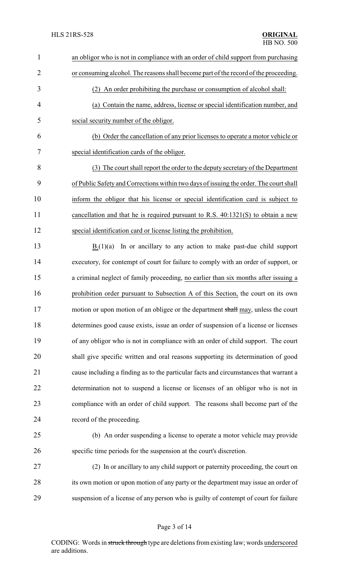| $\mathbf{1}$   | an obligor who is not in compliance with an order of child support from purchasing     |  |
|----------------|----------------------------------------------------------------------------------------|--|
| $\overline{2}$ | or consuming alcohol. The reasons shall become part of the record of the proceeding.   |  |
| 3              | (2) An order prohibiting the purchase or consumption of alcohol shall:                 |  |
| 4              | (a) Contain the name, address, license or special identification number, and           |  |
| 5              | social security number of the obligor.                                                 |  |
| 6              | (b) Order the cancellation of any prior licenses to operate a motor vehicle or         |  |
| $\tau$         | special identification cards of the obligor.                                           |  |
| 8              | (3) The court shall report the order to the deputy secretary of the Department         |  |
| 9              | of Public Safety and Corrections within two days of issuing the order. The court shall |  |
| 10             | inform the obligor that his license or special identification card is subject to       |  |
| 11             | cancellation and that he is required pursuant to R.S. $40:1321(S)$ to obtain a new     |  |
| 12             | special identification card or license listing the prohibition.                        |  |
| 13             | In or ancillary to any action to make past-due child support<br>B(1)(a)                |  |
| 14             | executory, for contempt of court for failure to comply with an order of support, or    |  |
| 15             | a criminal neglect of family proceeding, no earlier than six months after issuing a    |  |
| 16             | prohibition order pursuant to Subsection A of this Section, the court on its own       |  |
| 17             | motion or upon motion of an obligee or the department shall may, unless the court      |  |
| 18             | determines good cause exists, issue an order of suspension of a license or licenses    |  |
| 19             | of any obligor who is not in compliance with an order of child support. The court      |  |
| 20             | shall give specific written and oral reasons supporting its determination of good      |  |
| 21             | cause including a finding as to the particular facts and circumstances that warrant a  |  |
| 22             | determination not to suspend a license or licenses of an obligor who is not in         |  |
| 23             | compliance with an order of child support. The reasons shall become part of the        |  |
| 24             | record of the proceeding.                                                              |  |
| 25             | (b) An order suspending a license to operate a motor vehicle may provide               |  |
| 26             | specific time periods for the suspension at the court's discretion.                    |  |
| 27             | (2) In or ancillary to any child support or paternity proceeding, the court on         |  |
| 28             | its own motion or upon motion of any party or the department may issue an order of     |  |
| 29             | suspension of a license of any person who is guilty of contempt of court for failure   |  |
|                |                                                                                        |  |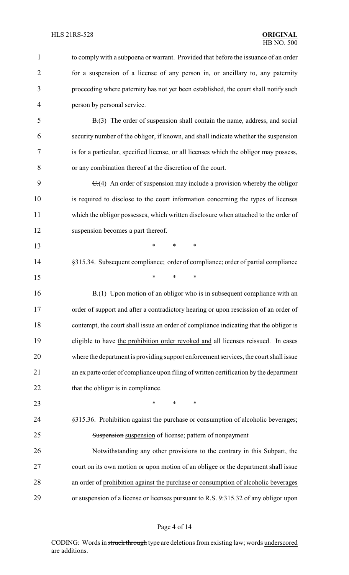| 1              | to comply with a subpoena or warrant. Provided that before the issuance of an order    |  |  |
|----------------|----------------------------------------------------------------------------------------|--|--|
| $\overline{2}$ | for a suspension of a license of any person in, or ancillary to, any paternity         |  |  |
| 3              | proceeding where paternity has not yet been established, the court shall notify such   |  |  |
| 4              | person by personal service.                                                            |  |  |
| 5              | $B(3)$ The order of suspension shall contain the name, address, and social             |  |  |
| 6              | security number of the obligor, if known, and shall indicate whether the suspension    |  |  |
| 7              | is for a particular, specified license, or all licenses which the obligor may possess, |  |  |
| 8              | or any combination thereof at the discretion of the court.                             |  |  |
| 9              | $\epsilon$ (4) An order of suspension may include a provision whereby the obligor      |  |  |
| 10             | is required to disclose to the court information concerning the types of licenses      |  |  |
| 11             | which the obligor possesses, which written disclosure when attached to the order of    |  |  |
| 12             | suspension becomes a part thereof.                                                     |  |  |
| 13             | $\ast$<br>*<br>$\ast$                                                                  |  |  |
| 14             | §315.34. Subsequent compliance; order of compliance; order of partial compliance       |  |  |
| 15             | $\ast$<br>∗<br>*                                                                       |  |  |
| 16             | B.(1) Upon motion of an obligor who is in subsequent compliance with an                |  |  |
| 17             | order of support and after a contradictory hearing or upon rescission of an order of   |  |  |
| 18             | contempt, the court shall issue an order of compliance indicating that the obligor is  |  |  |
| 19             | eligible to have the prohibition order revoked and all licenses reissued. In cases     |  |  |
| 20             | where the department is providing support enforcement services, the court shall issue  |  |  |
| 21             | an expart order of compliance upon filing of written certification by the department   |  |  |
| 22             | that the obligor is in compliance.                                                     |  |  |
| 23             | $\ast$<br>$\ast$<br>*                                                                  |  |  |
| 24             | §315.36. Prohibition against the purchase or consumption of alcoholic beverages;       |  |  |
| 25             | Suspension suspension of license; pattern of nonpayment                                |  |  |
| 26             | Notwithstanding any other provisions to the contrary in this Subpart, the              |  |  |
| 27             | court on its own motion or upon motion of an obligee or the department shall issue     |  |  |
| 28             | an order of prohibition against the purchase or consumption of alcoholic beverages     |  |  |
| 29             | or suspension of a license or licenses pursuant to R.S. 9:315.32 of any obligor upon   |  |  |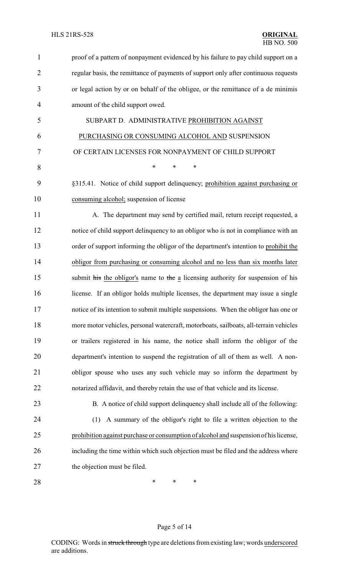| $\mathbf{1}$   | proof of a pattern of nonpayment evidenced by his failure to pay child support on a   |  |
|----------------|---------------------------------------------------------------------------------------|--|
| 2              | regular basis, the remittance of payments of support only after continuous requests   |  |
| 3              | or legal action by or on behalf of the obligee, or the remittance of a de minimis     |  |
| $\overline{4}$ | amount of the child support owed.                                                     |  |
| 5              | SUBPART D. ADMINISTRATIVE PROHIBITION AGAINST                                         |  |
| 6              | PURCHASING OR CONSUMING ALCOHOL AND SUSPENSION                                        |  |
| 7              | OF CERTAIN LICENSES FOR NONPAYMENT OF CHILD SUPPORT                                   |  |
| 8              | $\ast$<br>*<br>*                                                                      |  |
| 9              | §315.41. Notice of child support delinquency; prohibition against purchasing or       |  |
| 10             | consuming alcohol; suspension of license                                              |  |
| 11             | A. The department may send by certified mail, return receipt requested, a             |  |
| 12             | notice of child support delinquency to an obligor who is not in compliance with an    |  |
| 13             | order of support informing the obligor of the department's intention to prohibit the  |  |
| 14             | obligor from purchasing or consuming alcohol and no less than six months later        |  |
| 15             | submit his the obligor's name to the a licensing authority for suspension of his      |  |
| 16             | license. If an obligor holds multiple licenses, the department may issue a single     |  |
| 17             | notice of its intention to submit multiple suspensions. When the obligor has one or   |  |
| 18             | more motor vehicles, personal watercraft, motorboats, sailboats, all-terrain vehicles |  |
| 19             | or trailers registered in his name, the notice shall inform the obligor of the        |  |
| 20             | department's intention to suspend the registration of all of them as well. A non-     |  |
| 21             | obligor spouse who uses any such vehicle may so inform the department by              |  |
| 22             | notarized affidavit, and thereby retain the use of that vehicle and its license.      |  |
| 23             | B. A notice of child support delinquency shall include all of the following:          |  |
| 24             | A summary of the obligor's right to file a written objection to the<br>(1)            |  |
| 25             | prohibition against purchase or consumption of alcohol and suspension of his license, |  |
| 26             | including the time within which such objection must be filed and the address where    |  |
| 27             | the objection must be filed.                                                          |  |
| 28             | ∗<br>∗<br>∗                                                                           |  |

# Page 5 of 14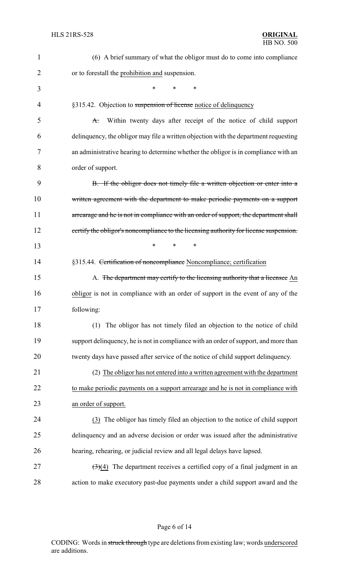| $\mathbf{1}$ | (6) A brief summary of what the obligor must do to come into compliance                          |  |
|--------------|--------------------------------------------------------------------------------------------------|--|
| 2            | or to forestall the prohibition and suspension.                                                  |  |
| 3            | *<br>*<br>$\ast$                                                                                 |  |
| 4            | §315.42. Objection to suspension of license notice of delinquency                                |  |
| 5            | Within twenty days after receipt of the notice of child support<br>$\mathbf{A}$ .                |  |
| 6            | delinquency, the obligor may file a written objection with the department requesting             |  |
| 7            | an administrative hearing to determine whether the obligor is in compliance with an              |  |
| 8            | order of support.                                                                                |  |
| 9            | B. If the obligor does not timely file a written objection or enter into a                       |  |
| 10           | written agreement with the department to make periodic payments on a support                     |  |
| 11           | arrearage and he is not in compliance with an order of support, the department shall             |  |
| 12           | certify the obligor's noncompliance to the licensing authority for license suspension.           |  |
| 13           | *<br>*<br>∗                                                                                      |  |
| 14           | §315.44. Certification of noncompliance Noncompliance; certification                             |  |
| 15           | A. The department may certify to the licensing authority that a licensee An                      |  |
| 16           | obligor is not in compliance with an order of support in the event of any of the                 |  |
| 17           | following:                                                                                       |  |
| 18           | The obligor has not timely filed an objection to the notice of child<br>(1)                      |  |
| 19           | support delinquency, he is not in compliance with an order of support, and more than             |  |
| 20           | twenty days have passed after service of the notice of child support delinquency.                |  |
| 21           | (2) The obligor has not entered into a written agreement with the department                     |  |
| 22           | to make periodic payments on a support arrearage and he is not in compliance with                |  |
| 23           | an order of support.                                                                             |  |
| 24           | (3) The obligor has timely filed an objection to the notice of child support                     |  |
| 25           | delinquency and an adverse decision or order was issued after the administrative                 |  |
| 26           | hearing, rehearing, or judicial review and all legal delays have lapsed.                         |  |
| 27           | $\left(\frac{1}{2}\right)(4)$ The department receives a certified copy of a final judgment in an |  |
| 28           | action to make executory past-due payments under a child support award and the                   |  |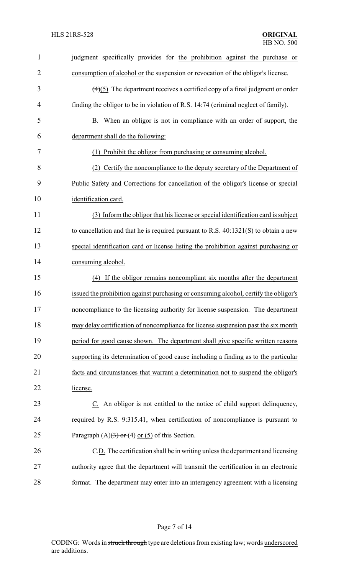| $\mathbf{1}$   | judgment specifically provides for the prohibition against the purchase or             |  |  |
|----------------|----------------------------------------------------------------------------------------|--|--|
| $\overline{2}$ | consumption of alcohol or the suspension or revocation of the obligor's license.       |  |  |
| 3              | $(4)(5)$ The department receives a certified copy of a final judgment or order         |  |  |
| $\overline{4}$ | finding the obligor to be in violation of R.S. 14:74 (criminal neglect of family).     |  |  |
| 5              | When an obligor is not in compliance with an order of support, the<br>B.               |  |  |
| 6              | department shall do the following:                                                     |  |  |
| 7              | Prohibit the obligor from purchasing or consuming alcohol.<br>(1)                      |  |  |
| 8              | (2) Certify the noncompliance to the deputy secretary of the Department of             |  |  |
| 9              | Public Safety and Corrections for cancellation of the obligor's license or special     |  |  |
| 10             | identification card.                                                                   |  |  |
| 11             | (3) Inform the obligor that his license or special identification card is subject      |  |  |
| 12             | to cancellation and that he is required pursuant to R.S. $40:1321(S)$ to obtain a new  |  |  |
| 13             | special identification card or license listing the prohibition against purchasing or   |  |  |
| 14             | consuming alcohol.                                                                     |  |  |
| 15             | (4) If the obligor remains noncompliant six months after the department                |  |  |
| 16             | issued the prohibition against purchasing or consuming alcohol, certify the obligor's  |  |  |
| 17             | noncompliance to the licensing authority for license suspension. The department        |  |  |
| 18             | may delay certification of noncompliance for license suspension past the six month     |  |  |
| 19             | period for good cause shown. The department shall give specific written reasons        |  |  |
| 20             | supporting its determination of good cause including a finding as to the particular    |  |  |
| 21             | facts and circumstances that warrant a determination not to suspend the obligor's      |  |  |
| 22             | license.                                                                               |  |  |
| 23             | $Cz$ . An obligor is not entitled to the notice of child support delinquency,          |  |  |
| 24             | required by R.S. 9:315.41, when certification of noncompliance is pursuant to          |  |  |
| 25             | Paragraph $(A)(3)$ or $(4)$ or $(5)$ of this Section.                                  |  |  |
| 26             | $\epsilon$ . The certification shall be in writing unless the department and licensing |  |  |
| 27             | authority agree that the department will transmit the certification in an electronic   |  |  |
| 28             | format. The department may enter into an interagency agreement with a licensing        |  |  |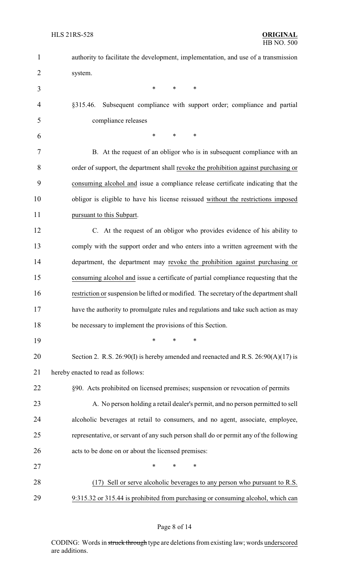| $\mathbf{1}$   | authority to facilitate the development, implementation, and use of a transmission     |  |  |
|----------------|----------------------------------------------------------------------------------------|--|--|
| $\overline{2}$ | system.                                                                                |  |  |
| 3              | *<br>$\ast$<br>*                                                                       |  |  |
| $\overline{4}$ | §315.46.<br>Subsequent compliance with support order; compliance and partial           |  |  |
| 5              | compliance releases                                                                    |  |  |
| 6              | *<br>$\ast$<br>*                                                                       |  |  |
| 7              | B. At the request of an obligor who is in subsequent compliance with an                |  |  |
| 8              | order of support, the department shall revoke the prohibition against purchasing or    |  |  |
| 9              | consuming alcohol and issue a compliance release certificate indicating that the       |  |  |
| 10             | obligor is eligible to have his license reissued without the restrictions imposed      |  |  |
| 11             | pursuant to this Subpart.                                                              |  |  |
| 12             | C. At the request of an obligor who provides evidence of his ability to                |  |  |
| 13             | comply with the support order and who enters into a written agreement with the         |  |  |
| 14             | department, the department may revoke the prohibition against purchasing or            |  |  |
| 15             | consuming alcohol and issue a certificate of partial compliance requesting that the    |  |  |
| 16             | restriction or suspension be lifted or modified. The secretary of the department shall |  |  |
| 17             | have the authority to promulgate rules and regulations and take such action as may     |  |  |
| 18             | be necessary to implement the provisions of this Section.                              |  |  |
| 19             | *<br>∗<br>∗                                                                            |  |  |
| 20             | Section 2. R.S. $26:90(I)$ is hereby amended and reenacted and R.S. $26:90(A)(17)$ is  |  |  |
| 21             | hereby enacted to read as follows:                                                     |  |  |
| 22             | §90. Acts prohibited on licensed premises; suspension or revocation of permits         |  |  |
| 23             | A. No person holding a retail dealer's permit, and no person permitted to sell         |  |  |
| 24             | alcoholic beverages at retail to consumers, and no agent, associate, employee,         |  |  |
| 25             | representative, or servant of any such person shall do or permit any of the following  |  |  |
| 26             | acts to be done on or about the licensed premises:                                     |  |  |
| 27             | *<br>∗<br>*                                                                            |  |  |
| 28             | (17) Sell or serve alcoholic beverages to any person who pursuant to R.S.              |  |  |
| 29             | 9:315.32 or 315.44 is prohibited from purchasing or consuming alcohol, which can       |  |  |

# Page 8 of 14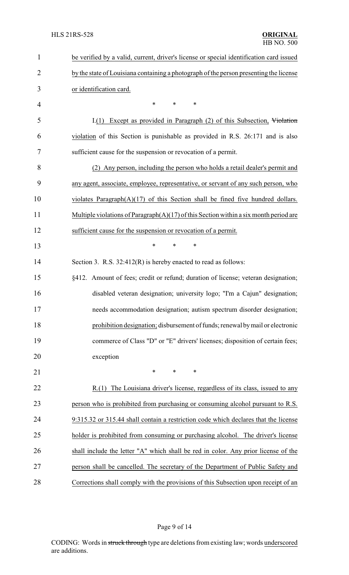| $\mathbf{1}$   | be verified by a valid, current, driver's license or special identification card issued  |  |
|----------------|------------------------------------------------------------------------------------------|--|
| $\overline{2}$ | by the state of Louisiana containing a photograph of the person presenting the license   |  |
| 3              | or identification card.                                                                  |  |
| 4              | $\ast$<br>$\ast$<br>*                                                                    |  |
| 5              | $I(1)$ Except as provided in Paragraph $(2)$ of this Subsection, Violation               |  |
| 6              | violation of this Section is punishable as provided in R.S. 26:171 and is also           |  |
| 7              | sufficient cause for the suspension or revocation of a permit.                           |  |
| 8              | (2) Any person, including the person who holds a retail dealer's permit and              |  |
| 9              | any agent, associate, employee, representative, or servant of any such person, who       |  |
| 10             | violates Paragraph $(A)(17)$ of this Section shall be fined five hundred dollars.        |  |
| 11             | Multiple violations of Paragraph $(A)(17)$ of this Section within a six month period are |  |
| 12             | sufficient cause for the suspension or revocation of a permit.                           |  |
| 13             | $\ast$<br>*<br>$\ast$                                                                    |  |
| 14             | Section 3. R.S. $32:412(R)$ is hereby enacted to read as follows:                        |  |
| 15             | §412. Amount of fees; credit or refund; duration of license; veteran designation;        |  |
| 16             | disabled veteran designation; university logo; "I'm a Cajun" designation;                |  |
| 17             | needs accommodation designation; autism spectrum disorder designation;                   |  |
| 18             | prohibition designation; disbursement of funds; renewal by mail or electronic            |  |
| 19             | commerce of Class "D" or "E" drivers' licenses; disposition of certain fees;             |  |
| 20             | exception                                                                                |  |
| 21             | $\ast$<br>*<br>*                                                                         |  |
| 22             | R.(1) The Louisiana driver's license, regardless of its class, issued to any             |  |
| 23             | person who is prohibited from purchasing or consuming alcohol pursuant to R.S.           |  |
| 24             | 9:315.32 or 315.44 shall contain a restriction code which declares that the license      |  |
| 25             | holder is prohibited from consuming or purchasing alcohol. The driver's license          |  |
| 26             | shall include the letter "A" which shall be red in color. Any prior license of the       |  |
| 27             | person shall be cancelled. The secretary of the Department of Public Safety and          |  |
| 28             | Corrections shall comply with the provisions of this Subsection upon receipt of an       |  |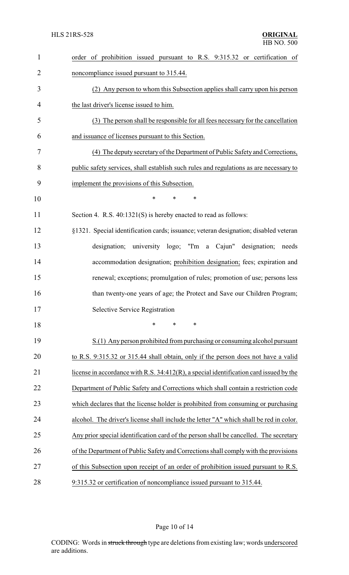| $\mathbf{1}$   | order of prohibition issued pursuant to R.S. 9:315.32 or certification of                 |  |  |
|----------------|-------------------------------------------------------------------------------------------|--|--|
| $\overline{2}$ | noncompliance issued pursuant to 315.44.                                                  |  |  |
| 3              | (2) Any person to whom this Subsection applies shall carry upon his person                |  |  |
| $\overline{4}$ | the last driver's license issued to him.                                                  |  |  |
| 5              | (3) The person shall be responsible for all fees necessary for the cancellation           |  |  |
| 6              | and issuance of licenses pursuant to this Section.                                        |  |  |
| 7              | (4) The deputy secretary of the Department of Public Safety and Corrections,              |  |  |
| 8              | public safety services, shall establish such rules and regulations as are necessary to    |  |  |
| 9              | implement the provisions of this Subsection.                                              |  |  |
| 10             | $\ast$<br>$\ast$<br>$\ast$                                                                |  |  |
| 11             | Section 4. R.S. 40:1321(S) is hereby enacted to read as follows:                          |  |  |
| 12             | §1321. Special identification cards; issuance; veteran designation; disabled veteran      |  |  |
| 13             | designation; university logo; "I'm a Cajun" designation;<br>needs                         |  |  |
| 14             | accommodation designation; prohibition designation; fees; expiration and                  |  |  |
| 15             | renewal; exceptions; promulgation of rules; promotion of use; persons less                |  |  |
| 16             | than twenty-one years of age; the Protect and Save our Children Program;                  |  |  |
| 17             | Selective Service Registration                                                            |  |  |
| 18             | $\ast$<br>$\ast$<br>*                                                                     |  |  |
| 19             | S.(1) Any person prohibited from purchasing or consuming alcohol pursuant                 |  |  |
| 20             | to R.S. 9:315.32 or 315.44 shall obtain, only if the person does not have a valid         |  |  |
| 21             | license in accordance with R.S. $34:412(R)$ , a special identification card issued by the |  |  |
| 22             | Department of Public Safety and Corrections which shall contain a restriction code        |  |  |
| 23             | which declares that the license holder is prohibited from consuming or purchasing         |  |  |
| 24             | alcohol. The driver's license shall include the letter "A" which shall be red in color.   |  |  |
| 25             | Any prior special identification card of the person shall be cancelled. The secretary     |  |  |
| 26             | of the Department of Public Safety and Corrections shall comply with the provisions       |  |  |
| 27             | of this Subsection upon receipt of an order of prohibition issued pursuant to R.S.        |  |  |
| 28             | 9:315.32 or certification of noncompliance issued pursuant to 315.44.                     |  |  |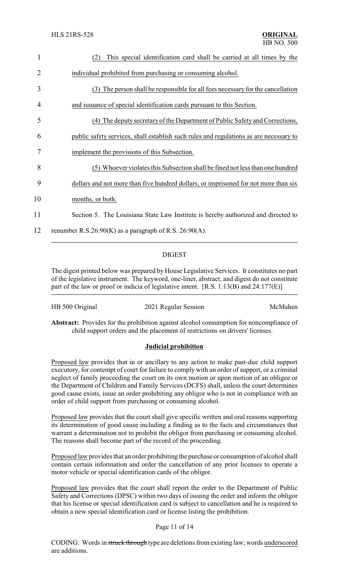| $\mathbf{1}$ | This special identification card shall be carried at all times by the                  |  |
|--------------|----------------------------------------------------------------------------------------|--|
| 2            | individual prohibited from purchasing or consuming alcohol.                            |  |
| 3            | The person shall be responsible for all fees necessary for the cancellation<br>(3)     |  |
| 4            | and issuance of special identification cards pursuant to this Section.                 |  |
| 5            | (4) The deputy secretary of the Department of Public Safety and Corrections,           |  |
| 6            | public safety services, shall establish such rules and regulations as are necessary to |  |
| 7            | implement the provisions of this Subsection.                                           |  |
| 8            | Whoever violates this Subsection shall be fined not less than one hundred<br>(5)       |  |
| 9            | dollars and not more than five hundred dollars, or imprisoned for not more than six    |  |
| 10           | months, or both.                                                                       |  |
| 11           | Section 5. The Louisiana State Law Institute is hereby authorized and directed to      |  |
| 12           | renumber R.S.26:90(K) as a paragraph of R.S. 26:90(A).                                 |  |
|              |                                                                                        |  |

## DIGEST

The digest printed below was prepared by House Legislative Services. It constitutes no part of the legislative instrument. The keyword, one-liner, abstract, and digest do not constitute part of the law or proof or indicia of legislative intent. [R.S. 1:13(B) and 24:177(E)]

| HB 500 Original | 2021 Regular Session | McMahen |
|-----------------|----------------------|---------|
|-----------------|----------------------|---------|

**Abstract:** Provides for the prohibition against alcohol consumption for noncompliance of child support orders and the placement of restrictions on drivers' licenses.

#### **Judicial prohibition**

Proposed law provides that in or ancillary to any action to make past-due child support executory, for contempt of court for failure to comply with an order of support, or a criminal neglect of family proceeding the court on its own motion or upon motion of an obligee or the Department of Children and Family Services (DCFS) shall, unless the court determines good cause exists, issue an order prohibiting any obligor who is not in compliance with an order of child support from purchasing or consuming alcohol.

Proposed law provides that the court shall give specific written and oral reasons supporting its determination of good cause including a finding as to the facts and circumstances that warrant a determination not to prohibit the obligor from purchasing or consuming alcohol. The reasons shall become part of the record of the proceeding.

Proposed law provides that an order prohibiting the purchase or consumption of alcohol shall contain certain information and order the cancellation of any prior licenses to operate a motor vehicle or special identification cards of the obligor.

Proposed law provides that the court shall report the order to the Department of Public Safety and Corrections (DPSC) within two days of issuing the order and inform the obligor that his license or special identification card is subject to cancellation and he is required to obtain a new special identification card or license listing the prohibition.

#### Page 11 of 14

CODING: Words in struck through type are deletions from existing law; words underscored are additions.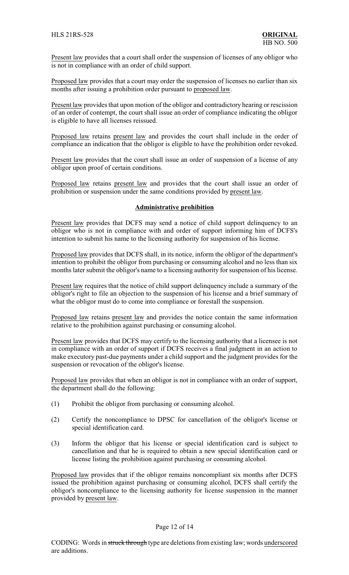Present law provides that a court shall order the suspension of licenses of any obligor who is not in compliance with an order of child support.

Proposed law provides that a court may order the suspension of licenses no earlier than six months after issuing a prohibition order pursuant to proposed law.

Present law provides that upon motion of the obligor and contradictory hearing or rescission of an order of contempt, the court shall issue an order of compliance indicating the obligor is eligible to have all licenses reissued.

Proposed law retains present law and provides the court shall include in the order of compliance an indication that the obligor is eligible to have the prohibition order revoked.

Present law provides that the court shall issue an order of suspension of a license of any obligor upon proof of certain conditions.

Proposed law retains present law and provides that the court shall issue an order of prohibition or suspension under the same conditions provided by present law.

#### **Administrative prohibition**

Present law provides that DCFS may send a notice of child support delinquency to an obligor who is not in compliance with and order of support informing him of DCFS's intention to submit his name to the licensing authority for suspension of his license.

Proposed law provides that DCFS shall, in its notice, inform the obligor of the department's intention to prohibit the obligor from purchasing or consuming alcohol and no less than six months later submit the obligor's name to a licensing authority for suspension of his license.

Present law requires that the notice of child support delinquency include a summary of the obligor's right to file an objection to the suspension of his license and a brief summary of what the obligor must do to come into compliance or forestall the suspension.

Proposed law retains present law and provides the notice contain the same information relative to the prohibition against purchasing or consuming alcohol.

Present law provides that DCFS may certify to the licensing authority that a licensee is not in compliance with an order of support if DCFS receives a final judgment in an action to make executory past-due payments under a child support and the judgment provides for the suspension or revocation of the obligor's license.

Proposed law provides that when an obligor is not in compliance with an order of support, the department shall do the following:

- (1) Prohibit the obligor from purchasing or consuming alcohol.
- (2) Certify the noncompliance to DPSC for cancellation of the obligor's license or special identification card.
- (3) Inform the obligor that his license or special identification card is subject to cancellation and that he is required to obtain a new special identification card or license listing the prohibition against purchasing or consuming alcohol.

Proposed law provides that if the obligor remains noncompliant six months after DCFS issued the prohibition against purchasing or consuming alcohol, DCFS shall certify the obligor's noncompliance to the licensing authority for license suspension in the manner provided by present law.

#### Page 12 of 14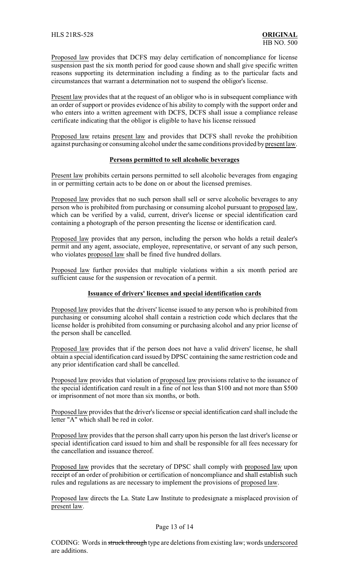Proposed law provides that DCFS may delay certification of noncompliance for license suspension past the six month period for good cause shown and shall give specific written reasons supporting its determination including a finding as to the particular facts and circumstances that warrant a determination not to suspend the obligor's license.

Present law provides that at the request of an obligor who is in subsequent compliance with an order of support or provides evidence of his ability to comply with the support order and who enters into a written agreement with DCFS, DCFS shall issue a compliance release certificate indicating that the obligor is eligible to have his license reissued

Proposed law retains present law and provides that DCFS shall revoke the prohibition against purchasing or consuming alcohol under the same conditions provided bypresent law.

#### **Persons permitted to sell alcoholic beverages**

Present law prohibits certain persons permitted to sell alcoholic beverages from engaging in or permitting certain acts to be done on or about the licensed premises.

Proposed law provides that no such person shall sell or serve alcoholic beverages to any person who is prohibited from purchasing or consuming alcohol pursuant to proposed law, which can be verified by a valid, current, driver's license or special identification card containing a photograph of the person presenting the license or identification card.

Proposed law provides that any person, including the person who holds a retail dealer's permit and any agent, associate, employee, representative, or servant of any such person, who violates proposed law shall be fined five hundred dollars.

Proposed law further provides that multiple violations within a six month period are sufficient cause for the suspension or revocation of a permit.

#### **Issuance of drivers' licenses and special identification cards**

Proposed law provides that the drivers' license issued to any person who is prohibited from purchasing or consuming alcohol shall contain a restriction code which declares that the license holder is prohibited from consuming or purchasing alcohol and any prior license of the person shall be cancelled.

Proposed law provides that if the person does not have a valid drivers' license, he shall obtain a special identification card issued by DPSC containing the same restriction code and any prior identification card shall be cancelled.

Proposed law provides that violation of proposed law provisions relative to the issuance of the special identification card result in a fine of not less than \$100 and not more than \$500 or imprisonment of not more than six months, or both.

Proposed law provides that the driver's license or special identification card shall include the letter "A" which shall be red in color.

Proposed law provides that the person shall carry upon his person the last driver's license or special identification card issued to him and shall be responsible for all fees necessary for the cancellation and issuance thereof.

Proposed law provides that the secretary of DPSC shall comply with proposed law upon receipt of an order of prohibition or certification of noncompliance and shall establish such rules and regulations as are necessary to implement the provisions of proposed law.

Proposed law directs the La. State Law Institute to predesignate a misplaced provision of present law.

#### Page 13 of 14

CODING: Words in struck through type are deletions from existing law; words underscored are additions.